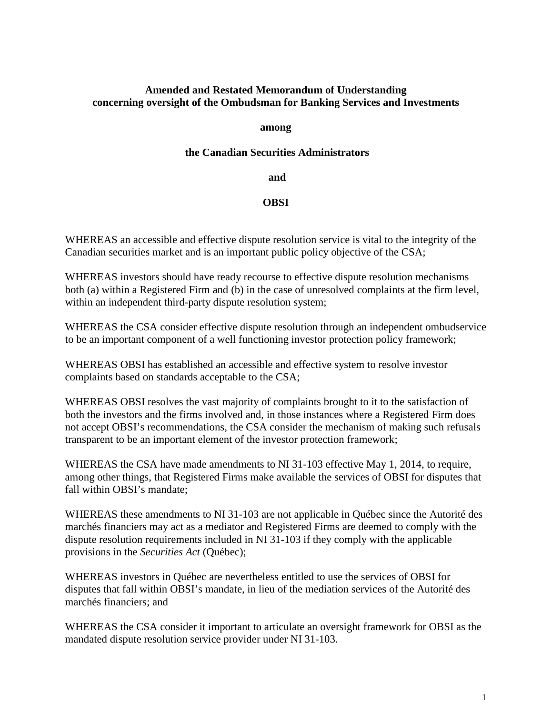#### **Amended and Restated Memorandum of Understanding concerning oversight of the Ombudsman for Banking Services and Investments**

#### **among**

#### **the Canadian Securities Administrators**

**and**

#### **OBSI**

WHEREAS an accessible and effective dispute resolution service is vital to the integrity of the Canadian securities market and is an important public policy objective of the CSA;

WHEREAS investors should have ready recourse to effective dispute resolution mechanisms both (a) within a Registered Firm and (b) in the case of unresolved complaints at the firm level, within an independent third-party dispute resolution system;

WHEREAS the CSA consider effective dispute resolution through an independent ombudservice to be an important component of a well functioning investor protection policy framework;

WHEREAS OBSI has established an accessible and effective system to resolve investor complaints based on standards acceptable to the CSA;

WHEREAS OBSI resolves the vast majority of complaints brought to it to the satisfaction of both the investors and the firms involved and, in those instances where a Registered Firm does not accept OBSI's recommendations, the CSA consider the mechanism of making such refusals transparent to be an important element of the investor protection framework;

WHEREAS the CSA have made amendments to NI 31-103 effective May 1, 2014, to require, among other things, that Registered Firms make available the services of OBSI for disputes that fall within OBSI's mandate;

WHEREAS these amendments to NI 31-103 are not applicable in Québec since the Autorité des marchés financiers may act as a mediator and Registered Firms are deemed to comply with the dispute resolution requirements included in NI 31-103 if they comply with the applicable provisions in the *Securities Act* (Québec);

WHEREAS investors in Québec are nevertheless entitled to use the services of OBSI for disputes that fall within OBSI's mandate, in lieu of the mediation services of the Autorité des marchés financiers; and

WHEREAS the CSA consider it important to articulate an oversight framework for OBSI as the mandated dispute resolution service provider under NI 31-103.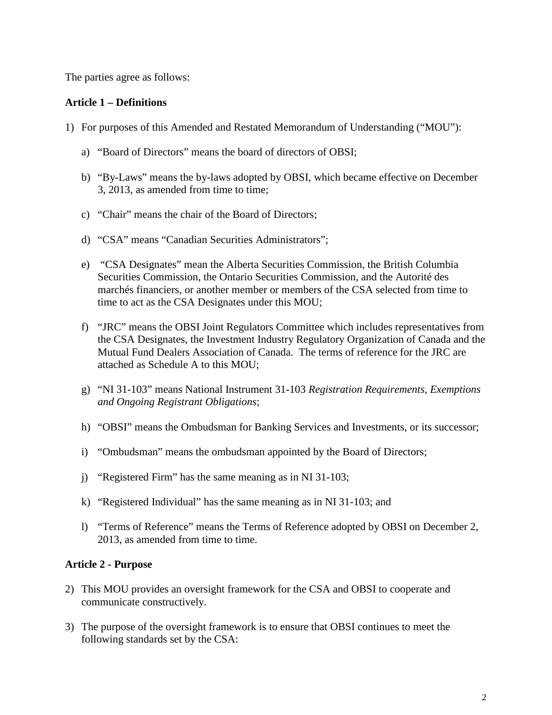The parties agree as follows:

#### **Article 1 – Definitions**

- 1) For purposes of this Amended and Restated Memorandum of Understanding ("MOU"):
	- a) "Board of Directors" means the board of directors of OBSI;
	- b) "By-Laws" means the by-laws adopted by OBSI, which became effective on December 3, 2013, as amended from time to time;
	- c) "Chair" means the chair of the Board of Directors;
	- d) "CSA" means "Canadian Securities Administrators";
	- e) "CSA Designates" mean the Alberta Securities Commission, the British Columbia Securities Commission, the Ontario Securities Commission, and the Autorité des marchés financiers, or another member or members of the CSA selected from time to time to act as the CSA Designates under this MOU;
	- f) "JRC" means the OBSI Joint Regulators Committee which includes representatives from the CSA Designates, the Investment Industry Regulatory Organization of Canada and the Mutual Fund Dealers Association of Canada. The terms of reference for the JRC are attached as Schedule A to this MOU;
	- g) "NI 31-103" means National Instrument 31-103 *Registration Requirements, Exemptions and Ongoing Registrant Obligations*;
	- h) "OBSI" means the Ombudsman for Banking Services and Investments, or its successor;
	- i) "Ombudsman" means the ombudsman appointed by the Board of Directors;
	- j) "Registered Firm" has the same meaning as in NI 31-103;
	- k) "Registered Individual" has the same meaning as in NI 31-103; and
	- l) "Terms of Reference" means the Terms of Reference adopted by OBSI on December 2, 2013, as amended from time to time.

#### **Article 2 - Purpose**

- 2) This MOU provides an oversight framework for the CSA and OBSI to cooperate and communicate constructively.
- 3) The purpose of the oversight framework is to ensure that OBSI continues to meet the following standards set by the CSA: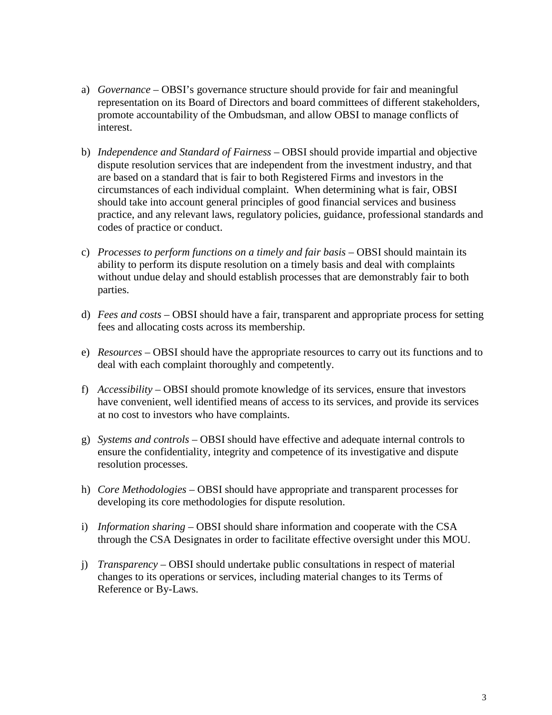- a) *Governance* OBSI's governance structure should provide for fair and meaningful representation on its Board of Directors and board committees of different stakeholders, promote accountability of the Ombudsman, and allow OBSI to manage conflicts of interest.
- b) *Independence and Standard of Fairness* OBSI should provide impartial and objective dispute resolution services that are independent from the investment industry, and that are based on a standard that is fair to both Registered Firms and investors in the circumstances of each individual complaint. When determining what is fair, OBSI should take into account general principles of good financial services and business practice, and any relevant laws, regulatory policies, guidance, professional standards and codes of practice or conduct.
- c) *Processes to perform functions on a timely and fair basis* OBSI should maintain its ability to perform its dispute resolution on a timely basis and deal with complaints without undue delay and should establish processes that are demonstrably fair to both parties.
- d) *Fees and costs* OBSI should have a fair, transparent and appropriate process for setting fees and allocating costs across its membership.
- e) *Resources* OBSI should have the appropriate resources to carry out its functions and to deal with each complaint thoroughly and competently.
- f) *Accessibility* OBSI should promote knowledge of its services, ensure that investors have convenient, well identified means of access to its services, and provide its services at no cost to investors who have complaints.
- g) *Systems and controls* OBSI should have effective and adequate internal controls to ensure the confidentiality, integrity and competence of its investigative and dispute resolution processes.
- h) *Core Methodologies* OBSI should have appropriate and transparent processes for developing its core methodologies for dispute resolution.
- i) *Information sharing* OBSI should share information and cooperate with the CSA through the CSA Designates in order to facilitate effective oversight under this MOU.
- j) *Transparency* OBSI should undertake public consultations in respect of material changes to its operations or services, including material changes to its Terms of Reference or By-Laws.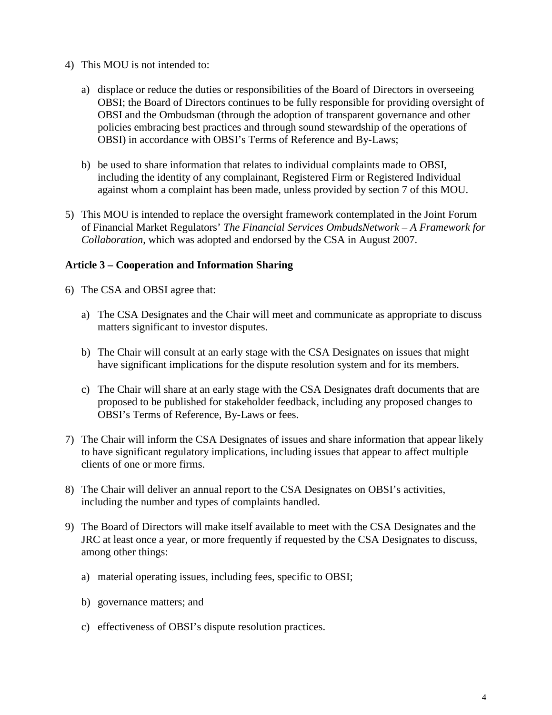- 4) This MOU is not intended to:
	- a) displace or reduce the duties or responsibilities of the Board of Directors in overseeing OBSI; the Board of Directors continues to be fully responsible for providing oversight of OBSI and the Ombudsman (through the adoption of transparent governance and other policies embracing best practices and through sound stewardship of the operations of OBSI) in accordance with OBSI's Terms of Reference and By-Laws;
	- b) be used to share information that relates to individual complaints made to OBSI, including the identity of any complainant, Registered Firm or Registered Individual against whom a complaint has been made, unless provided by section 7 of this MOU.
- 5) This MOU is intended to replace the oversight framework contemplated in the Joint Forum of Financial Market Regulators' *The Financial Services OmbudsNetwork – A Framework for Collaboration*, which was adopted and endorsed by the CSA in August 2007.

## **Article 3 – Cooperation and Information Sharing**

- 6) The CSA and OBSI agree that:
	- a) The CSA Designates and the Chair will meet and communicate as appropriate to discuss matters significant to investor disputes.
	- b) The Chair will consult at an early stage with the CSA Designates on issues that might have significant implications for the dispute resolution system and for its members.
	- c) The Chair will share at an early stage with the CSA Designates draft documents that are proposed to be published for stakeholder feedback, including any proposed changes to OBSI's Terms of Reference, By-Laws or fees.
- 7) The Chair will inform the CSA Designates of issues and share information that appear likely to have significant regulatory implications, including issues that appear to affect multiple clients of one or more firms.
- 8) The Chair will deliver an annual report to the CSA Designates on OBSI's activities, including the number and types of complaints handled.
- 9) The Board of Directors will make itself available to meet with the CSA Designates and the JRC at least once a year, or more frequently if requested by the CSA Designates to discuss, among other things:
	- a) material operating issues, including fees, specific to OBSI;
	- b) governance matters; and
	- c) effectiveness of OBSI's dispute resolution practices.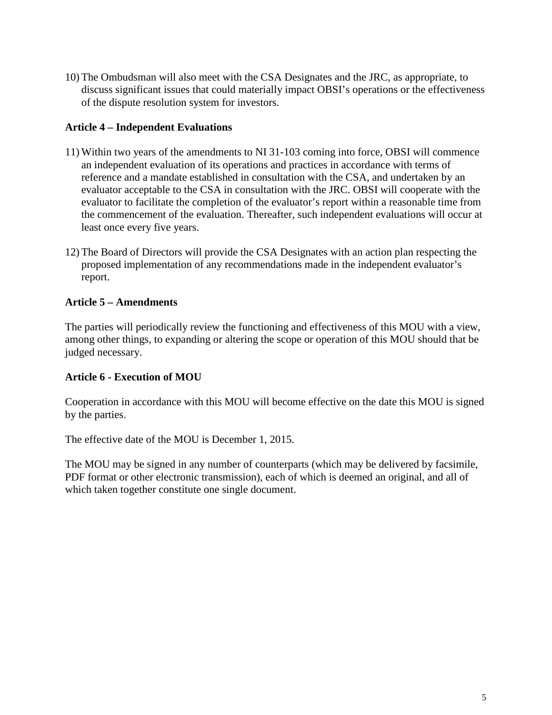10) The Ombudsman will also meet with the CSA Designates and the JRC, as appropriate, to discuss significant issues that could materially impact OBSI's operations or the effectiveness of the dispute resolution system for investors.

# **Article 4 – Independent Evaluations**

- 11) Within two years of the amendments to NI 31-103 coming into force, OBSI will commence an independent evaluation of its operations and practices in accordance with terms of reference and a mandate established in consultation with the CSA, and undertaken by an evaluator acceptable to the CSA in consultation with the JRC. OBSI will cooperate with the evaluator to facilitate the completion of the evaluator's report within a reasonable time from the commencement of the evaluation. Thereafter, such independent evaluations will occur at least once every five years.
- 12) The Board of Directors will provide the CSA Designates with an action plan respecting the proposed implementation of any recommendations made in the independent evaluator's report.

## **Article 5 – Amendments**

The parties will periodically review the functioning and effectiveness of this MOU with a view, among other things, to expanding or altering the scope or operation of this MOU should that be judged necessary.

# **Article 6 - Execution of MOU**

Cooperation in accordance with this MOU will become effective on the date this MOU is signed by the parties.

The effective date of the MOU is December 1, 2015.

The MOU may be signed in any number of counterparts (which may be delivered by facsimile, PDF format or other electronic transmission), each of which is deemed an original, and all of which taken together constitute one single document.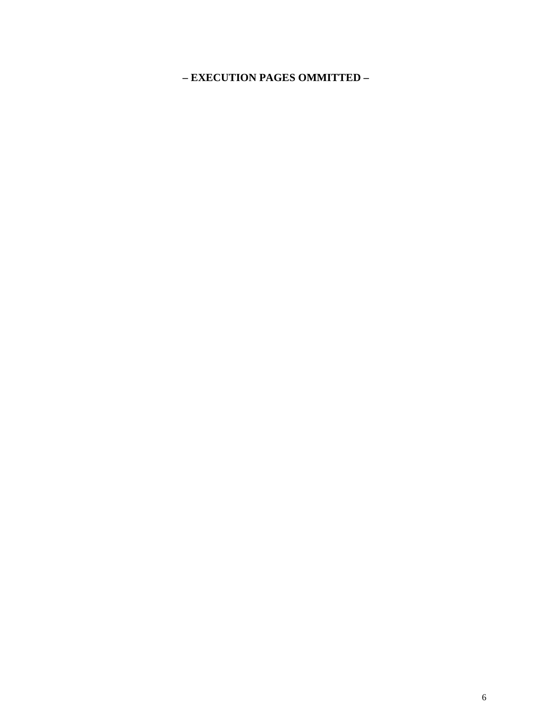**– EXECUTION PAGES OMMITTED –**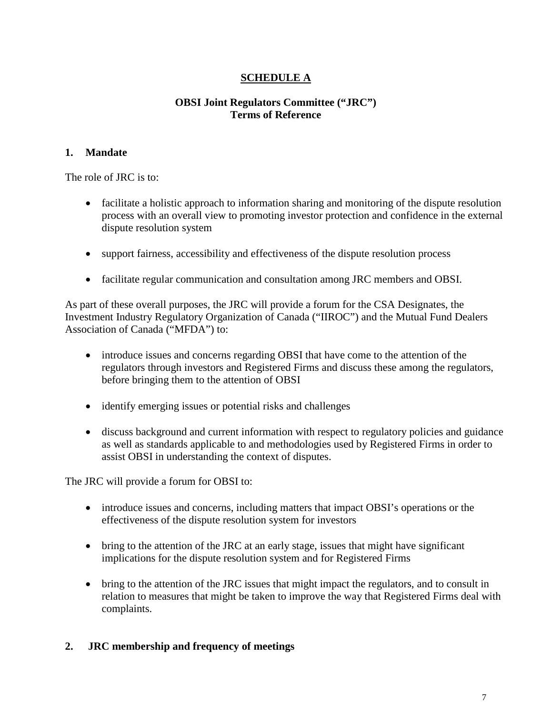# **SCHEDULE A**

## **OBSI Joint Regulators Committee ("JRC") Terms of Reference**

## **1. Mandate**

The role of JRC is to:

- facilitate a holistic approach to information sharing and monitoring of the dispute resolution process with an overall view to promoting investor protection and confidence in the external dispute resolution system
- support fairness, accessibility and effectiveness of the dispute resolution process
- facilitate regular communication and consultation among JRC members and OBSI.

As part of these overall purposes, the JRC will provide a forum for the CSA Designates, the Investment Industry Regulatory Organization of Canada ("IIROC") and the Mutual Fund Dealers Association of Canada ("MFDA") to:

- introduce issues and concerns regarding OBSI that have come to the attention of the regulators through investors and Registered Firms and discuss these among the regulators, before bringing them to the attention of OBSI
- identify emerging issues or potential risks and challenges
- discuss background and current information with respect to regulatory policies and guidance as well as standards applicable to and methodologies used by Registered Firms in order to assist OBSI in understanding the context of disputes.

The JRC will provide a forum for OBSI to:

- introduce issues and concerns, including matters that impact OBSI's operations or the effectiveness of the dispute resolution system for investors
- bring to the attention of the JRC at an early stage, issues that might have significant implications for the dispute resolution system and for Registered Firms
- bring to the attention of the JRC issues that might impact the regulators, and to consult in relation to measures that might be taken to improve the way that Registered Firms deal with complaints.

## **2. JRC membership and frequency of meetings**